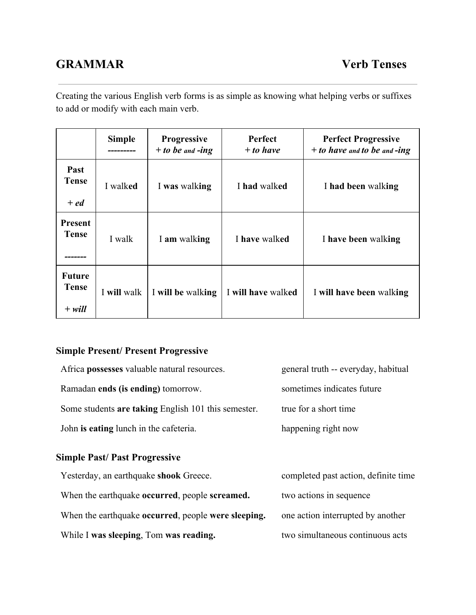# **GRAMMAR Verb Tenses**

Creating the various English verb forms is as simple as knowing what helping verbs or suffixes to add or modify with each main verb.

|                                    | <b>Simple</b> | <b>Progressive</b><br>$+$ to be and -ing | <b>Perfect</b><br>$+$ to have | <b>Perfect Progressive</b><br>$+$ to have and to be and -ing |
|------------------------------------|---------------|------------------------------------------|-------------------------------|--------------------------------------------------------------|
| Past<br><b>Tense</b><br>$+$ ed     | I walked      | I was walking                            | I had walked                  | I had been walking                                           |
| <b>Present</b><br>Tense            | I walk        | I am walking                             | I have walked                 | I have been walking                                          |
| <b>Future</b><br>Tense<br>$+$ will | I will walk   | I will be walking                        | I will have walked            | I will have been walking                                     |

## **Simple Present/ Present Progressive**

| Africa <b>possesses</b> valuable natural resources. | general truth -- everyday, habitual |
|-----------------------------------------------------|-------------------------------------|
| Ramadan ends (is ending) tomorrow.                  | sometimes indicates future          |
| Some students are taking English 101 this semester. | true for a short time               |
| John is eating lunch in the cafeteria.              | happening right now                 |
|                                                     |                                     |

## **Simple Past/ Past Progressive**

| Yesterday, an earthquake shook Greece.              | completed past action, definite time |
|-----------------------------------------------------|--------------------------------------|
| When the earthquake occurred, people screamed.      | two actions in sequence              |
| When the earthquake occurred, people were sleeping. | one action interrupted by another    |
| While I was sleeping, Tom was reading.              | two simultaneous continuous acts     |